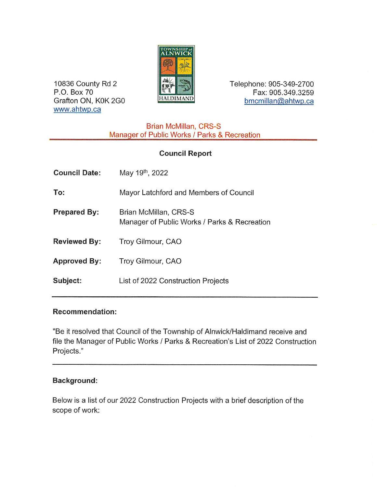

10836 County Rd 2 **Telephone: 905-349-2700** P.O. Box 70 'M . Fax: 905.349.3259 Grafton ON, K0K 2G0 **HALDIMAND** bmcmillan@ahtwp.ca

> Brian McMillan, CRS-S Manager of Public Works / Parks & Recreation

# Council Report

| <b>Council Date:</b> | May 19 <sup>th</sup> , 2022                                           |
|----------------------|-----------------------------------------------------------------------|
| To:                  | Mayor Latchford and Members of Council                                |
| <b>Prepared By:</b>  | Brian McMillan, CRS-S<br>Manager of Public Works / Parks & Recreation |
| <b>Reviewed By:</b>  | Troy Gilmour, CAO                                                     |
| <b>Approved By:</b>  | Troy Gilmour, CAO                                                     |
| Subject:             | List of 2022 Construction Projects                                    |

## Recommendation:

www.ahtwp.ca

"Be it resolved that Council of the Township of Alnwick/Haldimand receive and file the Manager of Public Works / Parks & Recreation's List of 2022 Construction Projects."

## Background:

Below is a list of our 2022 Construction Projects with a brief description of the scope of work: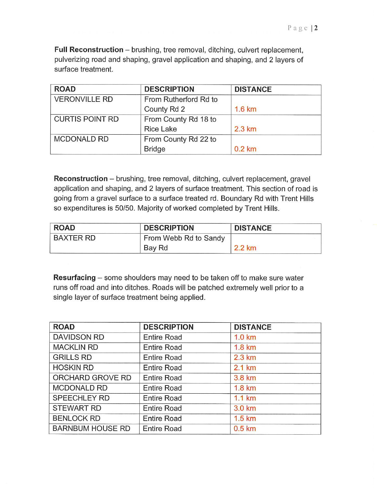Full Reconstruction — brushing, tree removal, ditching, culvert replacement, pulverizing road and shaping, gravel application and shaping, and 2 layers of surface treatment.

| <b>ROAD</b>            | <b>DESCRIPTION</b>    | <b>DISTANCE</b>  |
|------------------------|-----------------------|------------------|
| <b>VERONVILLE RD</b>   | From Rutherford Rd to |                  |
|                        | County Rd 2           | 1.6 km           |
| <b>CURTIS POINT RD</b> | From County Rd 18 to  |                  |
|                        | <b>Rice Lake</b>      | $2.3 \text{ km}$ |
| <b>MCDONALD RD</b>     | From County Rd 22 to  |                  |
|                        | <b>Bridge</b>         | $0.2$ km         |

Reconstruction - brushing, tree removal, ditching, culvert replacement, gravel application and shaping, and 2 layers of surface treatment. This section of road is going from a gravel surface to a surface treated rd. Boundary Rd with Trent Hills so expenditures is 50/50. Majority of worked completed by Trent Hills.

| <b>ROAD</b> | <b>DESCRIPTION</b>    | <b>DISTANCE</b> |
|-------------|-----------------------|-----------------|
| BAXTER RD   | From Webb Rd to Sandy |                 |
|             | Bay Rd                | 2.2 km          |

Resurfacing - some shoulders may need to be taken off to make sure water runs off road and into ditches. Roads will be patched extremely well prior to a single layer of surface treatment being applied.

| <b>ROAD</b>             | <b>DESCRIPTION</b> | <b>DISTANCE</b>  |
|-------------------------|--------------------|------------------|
| <b>DAVIDSON RD</b>      | <b>Entire Road</b> | $1.0 \text{ km}$ |
| <b>MACKLIN RD</b>       | <b>Entire Road</b> | $1.8 \text{ km}$ |
| <b>GRILLS RD</b>        | <b>Entire Road</b> | 2.3 km           |
| <b>HOSKIN RD</b>        | <b>Entire Road</b> | 2.1 km           |
| ORCHARD GROVE RD        | <b>Entire Road</b> | 3.8 km           |
| <b>MCDONALD RD</b>      | <b>Entire Road</b> | 1.8 km           |
| SPEECHLEY RD            | <b>Entire Road</b> | $1.1 \text{ km}$ |
| <b>STEWART RD</b>       | <b>Entire Road</b> | 3.0 km           |
| <b>BENLOCK RD</b>       | <b>Entire Road</b> | $1.5 \text{ km}$ |
| <b>BARNBUM HOUSE RD</b> | <b>Entire Road</b> | $0.5$ km         |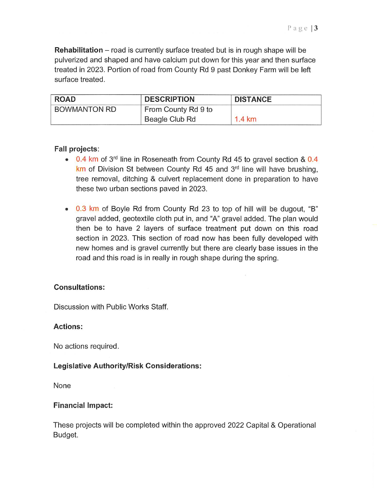**Rehabilitation** – road is currently surface treated but is in rough shape will be pulverized and shaped and have calcium put down for this year and then surface treated in 2023. Portion of road from County Rd 9 past Donkey Farm will be left surface treated.

| <b>ROAD</b>  | <b>DESCRIPTION</b>  | <b>DISTANCE</b>  |
|--------------|---------------------|------------------|
| BOWMANTON RD | From County Rd 9 to |                  |
|              | Beagle Club Rd      | $1.4 \text{ km}$ |

### Fall projects:

- **0.4 km** of 3<sup>rd</sup> line in Roseneath from County Rd 45 to gravel section & 0.4  $km$  of Division St between County Rd 45 and  $3<sup>rd</sup>$  line will have brushing, tree removal, ditching & culvert replacement done in preparation to have these two urban sections paved in 2023.
- 0.3 km of Boyle Rd from County Rd 23 to top of hill will be dugout, "B" gravel added, geotextile cloth put in, and "A"gravel added. The plan would then be to have 2 layers of surface treatment put down on this road section in 2023. This section of road now has been fully developed with new homes and is gravel currently but there are clearly base issues in the road and this road is in really in rough shape during the spring.

#### Consultations:

Discussion with Public Works Staff.

#### Actions:

No actions required.

#### Legislative AuthoritylRisk Considerations:

None

#### Financial Impact:

These projects will be completed within the approved 2022 Capital & Operational Budget.